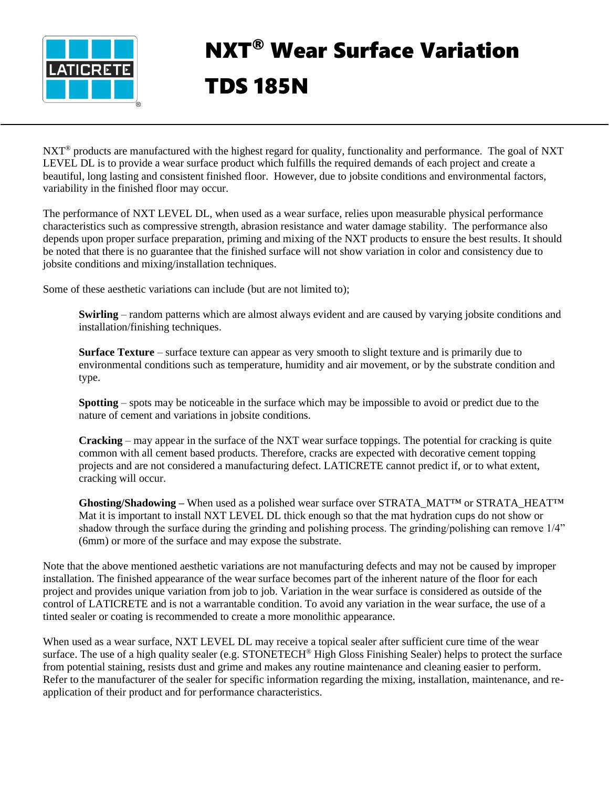

## NXT® Wear Surface Variation TDS 185N

 $NXT^{\circ}$  products are manufactured with the highest regard for quality, functionality and performance. The goal of NXT LEVEL DL is to provide a wear surface product which fulfills the required demands of each project and create a beautiful, long lasting and consistent finished floor. However, due to jobsite conditions and environmental factors, variability in the finished floor may occur.

The performance of NXT LEVEL DL, when used as a wear surface, relies upon measurable physical performance characteristics such as compressive strength, abrasion resistance and water damage stability. The performance also depends upon proper surface preparation, priming and mixing of the NXT products to ensure the best results. It should be noted that there is no guarantee that the finished surface will not show variation in color and consistency due to jobsite conditions and mixing/installation techniques.

Some of these aesthetic variations can include (but are not limited to);

**Swirling** – random patterns which are almost always evident and are caused by varying jobsite conditions and installation/finishing techniques.

**Surface Texture** – surface texture can appear as very smooth to slight texture and is primarily due to environmental conditions such as temperature, humidity and air movement, or by the substrate condition and type.

**Spotting** – spots may be noticeable in the surface which may be impossible to avoid or predict due to the nature of cement and variations in jobsite conditions.

**Cracking** – may appear in the surface of the NXT wear surface toppings. The potential for cracking is quite common with all cement based products. Therefore, cracks are expected with decorative cement topping projects and are not considered a manufacturing defect. LATICRETE cannot predict if, or to what extent, cracking will occur.

**Ghosting/Shadowing –** When used as a polished wear surface over STRATA\_MAT™ or STRATA\_HEAT™ Mat it is important to install NXT LEVEL DL thick enough so that the mat hydration cups do not show or shadow through the surface during the grinding and polishing process. The grinding/polishing can remove 1/4" (6mm) or more of the surface and may expose the substrate.

Note that the above mentioned aesthetic variations are not manufacturing defects and may not be caused by improper installation. The finished appearance of the wear surface becomes part of the inherent nature of the floor for each project and provides unique variation from job to job. Variation in the wear surface is considered as outside of the control of LATICRETE and is not a warrantable condition. To avoid any variation in the wear surface, the use of a tinted sealer or coating is recommended to create a more monolithic appearance.

When used as a wear surface, NXT LEVEL DL may receive a topical sealer after sufficient cure time of the wear surface. The use of a high quality sealer (e.g. STONETECH® High Gloss Finishing Sealer) helps to protect the surface from potential staining, resists dust and grime and makes any routine maintenance and cleaning easier to perform. Refer to the manufacturer of the sealer for specific information regarding the mixing, installation, maintenance, and reapplication of their product and for performance characteristics.